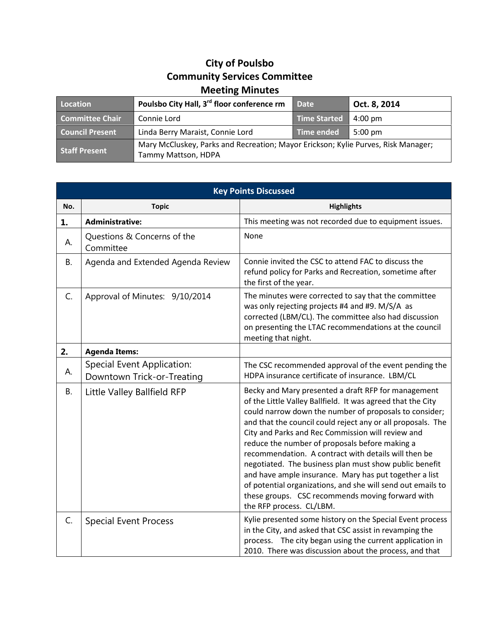## **City of Poulsbo Community Services Committee Meeting Minutes**

| Location               | Poulsbo City Hall, 3 <sup>rd</sup> floor conference rm                                                   | <b>Date</b>  | Oct. 8, 2014      |
|------------------------|----------------------------------------------------------------------------------------------------------|--------------|-------------------|
| <b>Committee Chair</b> | Connie Lord                                                                                              | Time Started | $4:00 \text{ pm}$ |
| <b>Council Present</b> | Linda Berry Maraist, Connie Lord                                                                         | Time ended   | $5:00 \text{ pm}$ |
| Staff Present          | Mary McCluskey, Parks and Recreation; Mayor Erickson; Kylie Purves, Risk Manager;<br>Tammy Mattson, HDPA |              |                   |

| <b>Key Points Discussed</b> |                                                                 |                                                                                                                                                                                                                                                                                                                                                                                                                                                                                                                                                                                                                                                                               |  |  |
|-----------------------------|-----------------------------------------------------------------|-------------------------------------------------------------------------------------------------------------------------------------------------------------------------------------------------------------------------------------------------------------------------------------------------------------------------------------------------------------------------------------------------------------------------------------------------------------------------------------------------------------------------------------------------------------------------------------------------------------------------------------------------------------------------------|--|--|
| No.                         | <b>Topic</b>                                                    | <b>Highlights</b>                                                                                                                                                                                                                                                                                                                                                                                                                                                                                                                                                                                                                                                             |  |  |
| 1.                          | <b>Administrative:</b>                                          | This meeting was not recorded due to equipment issues.                                                                                                                                                                                                                                                                                                                                                                                                                                                                                                                                                                                                                        |  |  |
| А.                          | Questions & Concerns of the<br>Committee                        | None                                                                                                                                                                                                                                                                                                                                                                                                                                                                                                                                                                                                                                                                          |  |  |
| <b>B.</b>                   | Agenda and Extended Agenda Review                               | Connie invited the CSC to attend FAC to discuss the<br>refund policy for Parks and Recreation, sometime after<br>the first of the year.                                                                                                                                                                                                                                                                                                                                                                                                                                                                                                                                       |  |  |
| C.                          | Approval of Minutes: 9/10/2014                                  | The minutes were corrected to say that the committee<br>was only rejecting projects #4 and #9. M/S/A as<br>corrected (LBM/CL). The committee also had discussion<br>on presenting the LTAC recommendations at the council<br>meeting that night.                                                                                                                                                                                                                                                                                                                                                                                                                              |  |  |
| 2.                          | <b>Agenda Items:</b>                                            |                                                                                                                                                                                                                                                                                                                                                                                                                                                                                                                                                                                                                                                                               |  |  |
| А.                          | <b>Special Event Application:</b><br>Downtown Trick-or-Treating | The CSC recommended approval of the event pending the<br>HDPA insurance certificate of insurance. LBM/CL                                                                                                                                                                                                                                                                                                                                                                                                                                                                                                                                                                      |  |  |
| <b>B.</b>                   | Little Valley Ballfield RFP                                     | Becky and Mary presented a draft RFP for management<br>of the Little Valley Ballfield. It was agreed that the City<br>could narrow down the number of proposals to consider;<br>and that the council could reject any or all proposals. The<br>City and Parks and Rec Commission will review and<br>reduce the number of proposals before making a<br>recommendation. A contract with details will then be<br>negotiated. The business plan must show public benefit<br>and have ample insurance. Mary has put together a list<br>of potential organizations, and she will send out emails to<br>these groups. CSC recommends moving forward with<br>the RFP process. CL/LBM. |  |  |
| C.                          | <b>Special Event Process</b>                                    | Kylie presented some history on the Special Event process<br>in the City, and asked that CSC assist in revamping the<br>process. The city began using the current application in<br>2010. There was discussion about the process, and that                                                                                                                                                                                                                                                                                                                                                                                                                                    |  |  |